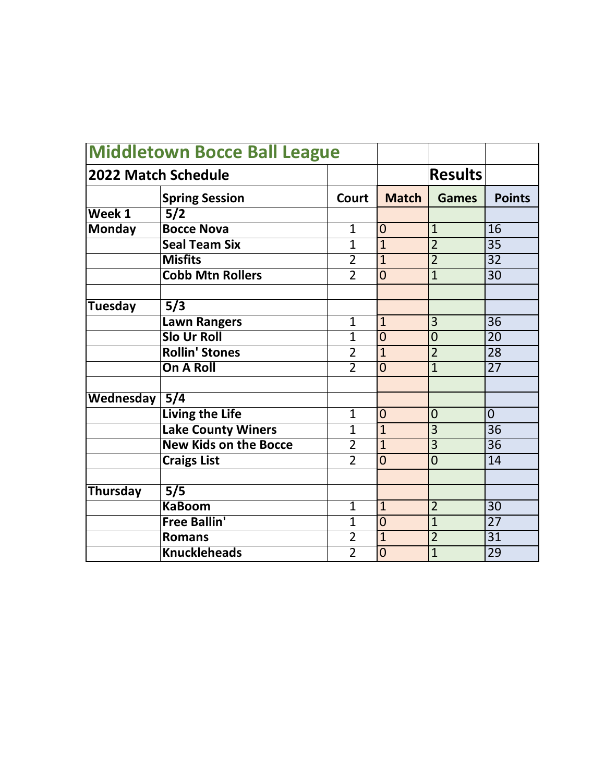| 2022 Match Schedule |                              |                |                | <b>Results</b> |                 |
|---------------------|------------------------------|----------------|----------------|----------------|-----------------|
|                     |                              |                |                |                |                 |
|                     | <b>Spring Session</b>        | <b>Court</b>   | <b>Match</b>   | <b>Games</b>   | <b>Points</b>   |
| Week 1              | 5/2                          |                |                |                |                 |
| <b>Monday</b>       | <b>Bocce Nova</b>            | $\mathbf{1}$   | $\overline{0}$ | $\mathbf{1}$   | 16              |
|                     | <b>Seal Team Six</b>         | $\overline{1}$ | $\overline{1}$ | $\overline{2}$ | $\overline{35}$ |
|                     | <b>Misfits</b>               | $\overline{2}$ | $\overline{1}$ | $\overline{2}$ | $\overline{32}$ |
|                     | <b>Cobb Mtn Rollers</b>      | $\overline{2}$ | $\overline{0}$ | $\overline{1}$ | $\overline{30}$ |
|                     |                              |                |                |                |                 |
| Tuesday             | 5/3                          |                |                |                |                 |
|                     | <b>Lawn Rangers</b>          | $\mathbf{1}$   | $\mathbf{1}$   | 3              | $\overline{36}$ |
|                     | <b>Slo Ur Roll</b>           | $\mathbf{1}$   | $\overline{0}$ | $\overline{0}$ | $\overline{20}$ |
|                     | <b>Rollin' Stones</b>        | $\overline{2}$ | $\overline{1}$ | $\overline{2}$ | $\overline{28}$ |
|                     | On A Roll                    | $\overline{2}$ | $\overline{0}$ | $\overline{1}$ | $\overline{27}$ |
|                     |                              |                |                |                |                 |
| Wednesday           | $\overline{5/4}$             |                |                |                |                 |
|                     | <b>Living the Life</b>       | $\mathbf{1}$   | $\overline{0}$ | $\overline{0}$ | $\overline{0}$  |
|                     | <b>Lake County Winers</b>    | $\overline{1}$ | $\overline{1}$ | $\overline{3}$ | $\overline{36}$ |
|                     | <b>New Kids on the Bocce</b> | $\overline{2}$ | $\overline{1}$ | $\overline{3}$ | $\overline{36}$ |
|                     | <b>Craigs List</b>           | $\overline{2}$ | $\overline{0}$ | $\overline{0}$ | 14              |
|                     |                              |                |                |                |                 |
| Thursday            | 5/5                          |                |                |                |                 |
|                     | <b>KaBoom</b>                | $\mathbf{1}$   | $\mathbf{1}$   | $\overline{2}$ | 30              |
|                     | <b>Free Ballin'</b>          | $\overline{1}$ | $\overline{0}$ | $\overline{1}$ | $\overline{27}$ |
|                     | <b>Romans</b>                | $\overline{2}$ | $\overline{1}$ | $\overline{2}$ | $\overline{31}$ |
|                     | <b>Knuckleheads</b>          | $\overline{2}$ | $\overline{0}$ | $\overline{1}$ | $\overline{29}$ |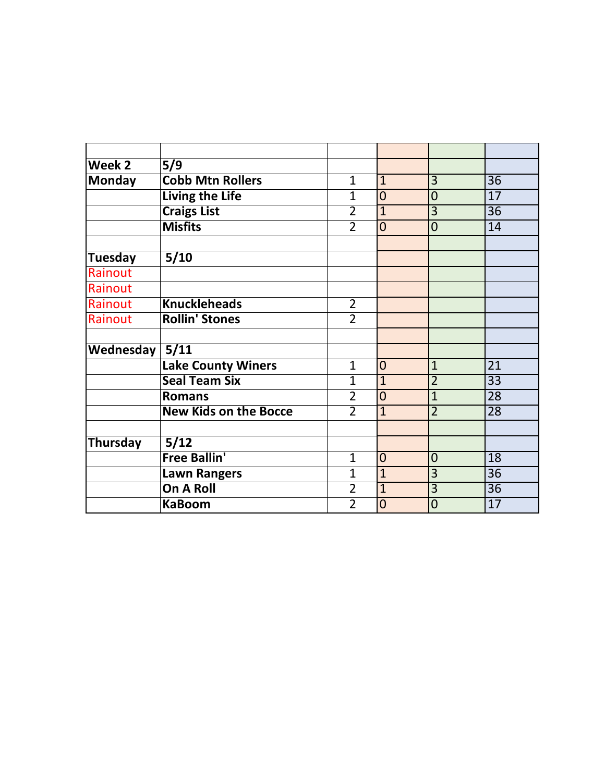| Week 2         | 5/9                          |                |                |                |                 |
|----------------|------------------------------|----------------|----------------|----------------|-----------------|
| <b>Monday</b>  | <b>Cobb Mtn Rollers</b>      | $\mathbf{1}$   | $\mathbf{1}$   | 3              | 36              |
|                | <b>Living the Life</b>       | $\overline{1}$ | $\overline{0}$ | $\overline{0}$ | $\overline{17}$ |
|                |                              | $\overline{2}$ | $\overline{1}$ | 3              | 36              |
|                | <b>Craigs List</b>           |                |                |                |                 |
|                | <b>Misfits</b>               | $\overline{2}$ | $\overline{0}$ | $\overline{0}$ | 14              |
| Tuesday        | 5/10                         |                |                |                |                 |
| Rainout        |                              |                |                |                |                 |
| Rainout        |                              |                |                |                |                 |
| Rainout        | <b>Knuckleheads</b>          | $\overline{2}$ |                |                |                 |
| Rainout        | <b>Rollin' Stones</b>        | $\overline{2}$ |                |                |                 |
|                |                              |                |                |                |                 |
| Wednesday 5/11 |                              |                |                |                |                 |
|                | <b>Lake County Winers</b>    | $\mathbf{1}$   | $\overline{0}$ | $\overline{1}$ | $\overline{21}$ |
|                | <b>Seal Team Six</b>         | $\overline{1}$ | $\overline{1}$ | $\overline{2}$ | $\overline{33}$ |
|                | <b>Romans</b>                | $\overline{2}$ | $\overline{0}$ | $\overline{1}$ | 28              |
|                | <b>New Kids on the Bocce</b> | $\overline{2}$ | $\overline{1}$ | $\overline{2}$ | $\overline{28}$ |
|                |                              |                |                |                |                 |
| Thursday       | 5/12                         |                |                |                |                 |
|                | <b>Free Ballin'</b>          | $\mathbf{1}$   | $\overline{0}$ | $\overline{0}$ | $\overline{18}$ |
|                | <b>Lawn Rangers</b>          | $\mathbf{1}$   | $\overline{1}$ | $\overline{3}$ | $\overline{36}$ |
|                | <b>On A Roll</b>             | $\overline{2}$ | $\overline{1}$ | $\overline{3}$ | $\overline{36}$ |
|                | <b>KaBoom</b>                | $\overline{2}$ | $\overline{0}$ | $\overline{0}$ | $\overline{17}$ |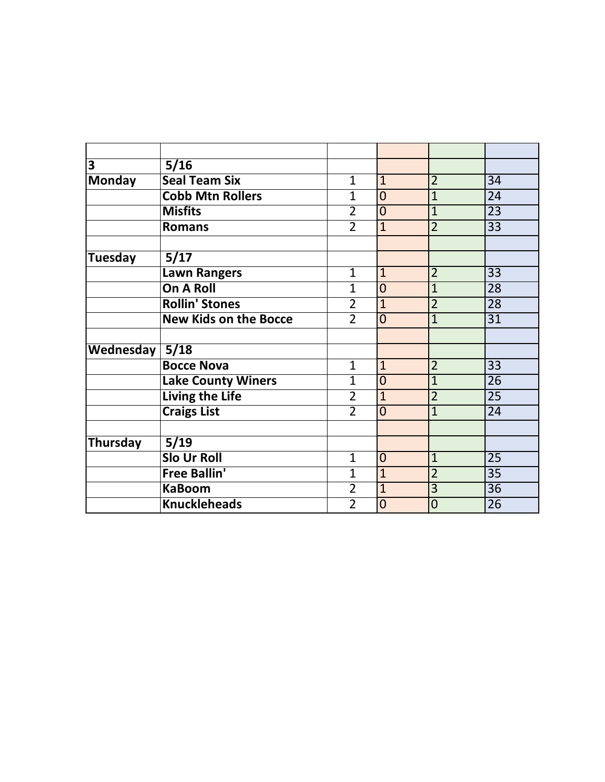| $\overline{\mathbf{3}}$ | 5/16                         |                |                |                |                 |
|-------------------------|------------------------------|----------------|----------------|----------------|-----------------|
| <b>Monday</b>           | <b>Seal Team Six</b>         | $\mathbf{1}$   | $\mathbf{1}$   | $\overline{2}$ | 34              |
|                         | <b>Cobb Mtn Rollers</b>      | $\overline{1}$ | $\overline{0}$ | $\overline{1}$ | $\overline{24}$ |
|                         | <b>Misfits</b>               | $\overline{2}$ | $\overline{0}$ | $\overline{1}$ | 23              |
|                         | <b>Romans</b>                | $\overline{2}$ | $\overline{1}$ | $\overline{2}$ | 33              |
| <b>Tuesday</b>          | 5/17                         |                |                |                |                 |
|                         | Lawn Rangers                 | $\overline{1}$ | $\mathbf{1}$   | $\overline{2}$ | 33              |
|                         | <b>On A Roll</b>             | $\overline{1}$ | $\overline{0}$ | $\mathbf{1}$   | 28              |
|                         | <b>Rollin' Stones</b>        | $\overline{2}$ | $\mathbf{1}$   | $\overline{2}$ | 28              |
|                         | <b>New Kids on the Bocce</b> | $\overline{2}$ | $\overline{0}$ | $\overline{1}$ | $\overline{31}$ |
| Wednesday               | 5/18                         |                |                |                |                 |
|                         | <b>Bocce Nova</b>            | 1              | $\mathbf{1}$   | $\overline{2}$ | $\overline{33}$ |
|                         | <b>Lake County Winers</b>    | $\overline{1}$ | $\overline{0}$ | $\overline{1}$ | $\overline{26}$ |
|                         | <b>Living the Life</b>       | $\overline{2}$ | $\overline{1}$ | $\overline{2}$ | 25              |
|                         | <b>Craigs List</b>           | $\overline{2}$ | $\overline{0}$ | $\overline{1}$ | $\overline{24}$ |
| <b>Thursday</b>         | 5/19                         |                |                |                |                 |
|                         | <b>Slo Ur Roll</b>           | $\mathbf{1}$   | $\overline{0}$ | $\overline{1}$ | 25              |
|                         | <b>Free Ballin'</b>          | $\overline{1}$ | $\overline{1}$ | $\overline{2}$ | $\overline{35}$ |
|                         | <b>KaBoom</b>                | $\overline{2}$ | $\overline{1}$ | $\overline{3}$ | $\overline{36}$ |
|                         | <b>Knuckleheads</b>          | $\overline{2}$ | $\overline{0}$ | $\overline{0}$ | $\overline{26}$ |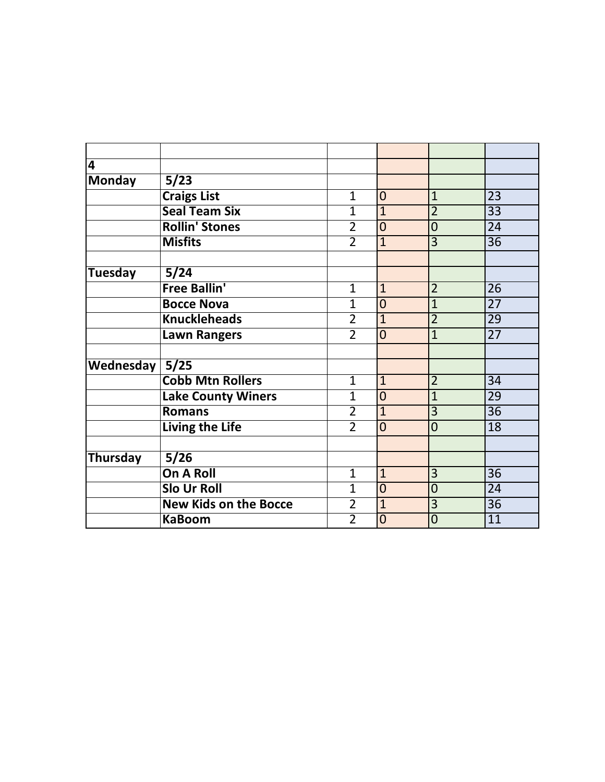| $\overline{\mathbf{4}}$ |                              |                |                |                |                 |
|-------------------------|------------------------------|----------------|----------------|----------------|-----------------|
| <b>Monday</b>           | 5/23                         |                |                |                |                 |
|                         | <b>Craigs List</b>           | $\mathbf{1}$   | $\overline{0}$ | $\mathbf{1}$   | $\overline{23}$ |
|                         | <b>Seal Team Six</b>         | $\mathbf{1}$   | $\overline{1}$ | $\overline{2}$ | $\overline{33}$ |
|                         | <b>Rollin' Stones</b>        | $\overline{2}$ | $\overline{0}$ | $\overline{0}$ | $\overline{24}$ |
|                         | <b>Misfits</b>               | $\overline{2}$ | $\overline{1}$ | $\overline{3}$ | $\overline{36}$ |
|                         |                              |                |                |                |                 |
| <b>Tuesday</b>          | 5/24                         |                |                |                |                 |
|                         | <b>Free Ballin'</b>          | $\mathbf{1}$   | $\mathbf{1}$   | $\overline{2}$ | 26              |
|                         | <b>Bocce Nova</b>            | $\mathbf{1}$   | $\overline{0}$ | $\mathbf{1}$   | $\overline{27}$ |
|                         | <b>Knuckleheads</b>          | $\overline{2}$ | $\mathbf{1}$   | $\overline{2}$ | 29              |
|                         | <b>Lawn Rangers</b>          | $\overline{2}$ | $\overline{0}$ | $\mathbf{1}$   | $\overline{27}$ |
| Wednesday 5/25          |                              |                |                |                |                 |
|                         | <b>Cobb Mtn Rollers</b>      | $\mathbf{1}$   | $\mathbf{1}$   | $\overline{2}$ | $\overline{34}$ |
|                         |                              |                |                |                |                 |
|                         | <b>Lake County Winers</b>    | $\mathbf{1}$   | $\overline{0}$ | $\overline{1}$ | 29              |
|                         | <b>Romans</b>                | $\overline{2}$ | $\overline{1}$ | $\overline{3}$ | $\overline{36}$ |
|                         | <b>Living the Life</b>       | $\overline{2}$ | $\overline{0}$ | $\overline{0}$ | 18              |
|                         |                              |                |                |                |                 |
| <b>Thursday</b>         | $\frac{1}{5}{26}$            |                |                |                |                 |
|                         | <b>On A Roll</b>             | $\mathbf{1}$   | $\mathbf{1}$   | $\overline{3}$ | $\overline{36}$ |
|                         | <b>Slo Ur Roll</b>           | $\mathbf{1}$   | $\overline{0}$ | $\overline{0}$ | $\overline{24}$ |
|                         | <b>New Kids on the Bocce</b> | $\overline{2}$ | $\overline{1}$ | $\overline{3}$ | $\overline{36}$ |
|                         | <b>KaBoom</b>                | $\overline{2}$ | $\overline{0}$ | $\overline{0}$ | 11              |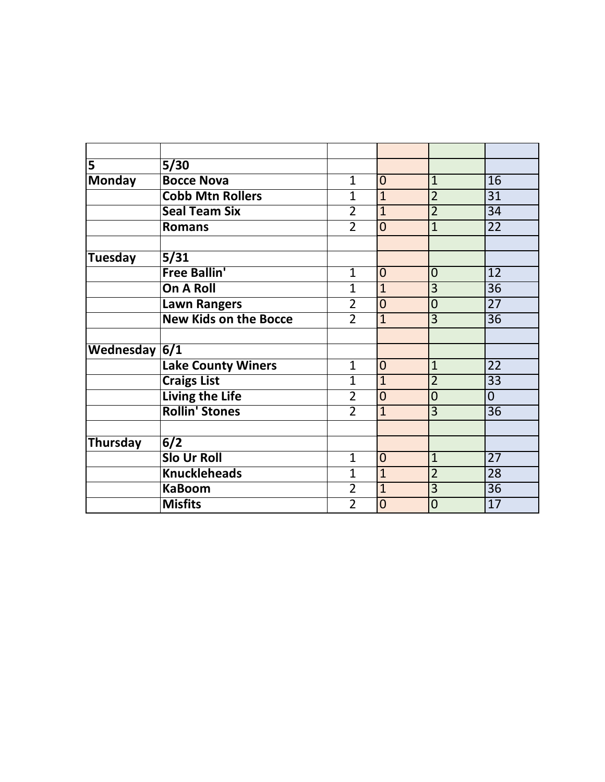| $\overline{\mathbf{5}}$ | 5/30                         |                |                |                |                 |
|-------------------------|------------------------------|----------------|----------------|----------------|-----------------|
| <b>Monday</b>           | <b>Bocce Nova</b>            | $\mathbf{1}$   | $\overline{0}$ | $\mathbf{1}$   | 16              |
|                         | <b>Cobb Mtn Rollers</b>      | $\mathbf{1}$   | $\overline{1}$ | $\overline{2}$ | $\overline{31}$ |
|                         | <b>Seal Team Six</b>         | $\overline{2}$ | $\mathbf{1}$   | $\overline{2}$ | 34              |
|                         | <b>Romans</b>                | $\overline{2}$ | $\overline{0}$ | $\overline{1}$ | $\overline{22}$ |
| Tuesday                 | 5/31                         |                |                |                |                 |
|                         | <b>Free Ballin'</b>          | $\mathbf{1}$   | $\overline{0}$ | $\overline{0}$ | 12              |
|                         | On A Roll                    | $\overline{1}$ | $\overline{1}$ | 3              | 36              |
|                         | <b>Lawn Rangers</b>          | $\overline{2}$ | $\overline{0}$ | $\overline{0}$ | $\overline{27}$ |
|                         | <b>New Kids on the Bocce</b> | $\overline{2}$ | $\mathbf{1}$   | $\overline{3}$ | 36              |
| Wednesday $6/1$         |                              |                |                |                |                 |
|                         | <b>Lake County Winers</b>    | $\mathbf{1}$   | $\overline{0}$ | $\overline{1}$ | 22              |
|                         | <b>Craigs List</b>           | $\overline{1}$ | $\overline{1}$ | $\overline{2}$ | $\overline{33}$ |
|                         | <b>Living the Life</b>       | $\overline{2}$ | $\overline{0}$ | $\overline{0}$ | $\overline{0}$  |
|                         | <b>Rollin' Stones</b>        | $\overline{2}$ | $\overline{1}$ | $\overline{3}$ | $\overline{36}$ |
| Thursday                | 6/2                          |                |                |                |                 |
|                         | <b>Slo Ur Roll</b>           | $\mathbf{1}$   | $\overline{0}$ | $\mathbf{1}$   | $\overline{27}$ |
|                         | <b>Knuckleheads</b>          | $\mathbf{1}$   | $\overline{1}$ | $\overline{2}$ | $\overline{28}$ |
|                         | <b>KaBoom</b>                | $\overline{2}$ | $\overline{1}$ | $\overline{3}$ | $\overline{36}$ |
|                         | <b>Misfits</b>               | $\overline{2}$ | $\overline{0}$ | $\overline{0}$ | $\overline{17}$ |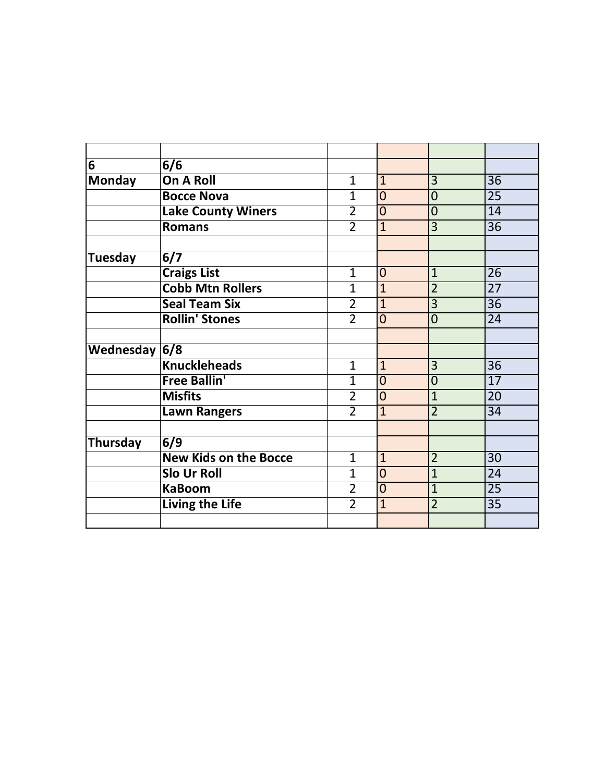| $\overline{6}$  | 6/6                          |                |                |                |                 |
|-----------------|------------------------------|----------------|----------------|----------------|-----------------|
| <b>Monday</b>   | <b>On A Roll</b>             | $\mathbf{1}$   | $\mathbf{1}$   | 3              | $\overline{36}$ |
|                 | <b>Bocce Nova</b>            | $\mathbf{1}$   | $\overline{0}$ | $\overline{0}$ | 25              |
|                 | <b>Lake County Winers</b>    | $\overline{2}$ | $\overline{0}$ | $\overline{0}$ | 14              |
|                 | <b>Romans</b>                | $\overline{2}$ | $\overline{1}$ | 3              | 36              |
|                 |                              |                |                |                |                 |
| Tuesday         | 6/7                          |                |                |                |                 |
|                 | <b>Craigs List</b>           | $\mathbf{1}$   | $\overline{0}$ | $\mathbf{1}$   | $\overline{26}$ |
|                 | <b>Cobb Mtn Rollers</b>      | $\mathbf{1}$   | $\overline{1}$ | $\overline{2}$ | $\overline{27}$ |
|                 | <b>Seal Team Six</b>         | $\overline{2}$ | $\overline{1}$ | $\overline{3}$ | $\overline{36}$ |
|                 | <b>Rollin' Stones</b>        | $\overline{2}$ | $\overline{0}$ | $\overline{0}$ | 24              |
|                 |                              |                |                |                |                 |
| Wednesday $6/8$ |                              |                |                |                |                 |
|                 | <b>Knuckleheads</b>          | $\overline{1}$ | $\mathbf{1}$   | 3              | $\overline{36}$ |
|                 | <b>Free Ballin'</b>          | $\overline{1}$ | $\overline{0}$ | $\overline{0}$ | $\overline{17}$ |
|                 | <b>Misfits</b>               | $\overline{2}$ | $\overline{0}$ | $\overline{1}$ | $\overline{20}$ |
|                 | <b>Lawn Rangers</b>          | $\overline{2}$ | $\overline{1}$ | $\overline{2}$ | 34              |
|                 |                              |                |                |                |                 |
| Thursday        | 6/9                          |                |                |                |                 |
|                 | <b>New Kids on the Bocce</b> | $\mathbf{1}$   | $\mathbf{1}$   | $\overline{2}$ | $\overline{30}$ |
|                 | <b>Slo Ur Roll</b>           | $\mathbf{1}$   | $\overline{0}$ | $\overline{1}$ | 24              |
|                 | <b>KaBoom</b>                | $\overline{2}$ | $\overline{0}$ | $\overline{1}$ | 25              |
|                 |                              |                |                |                |                 |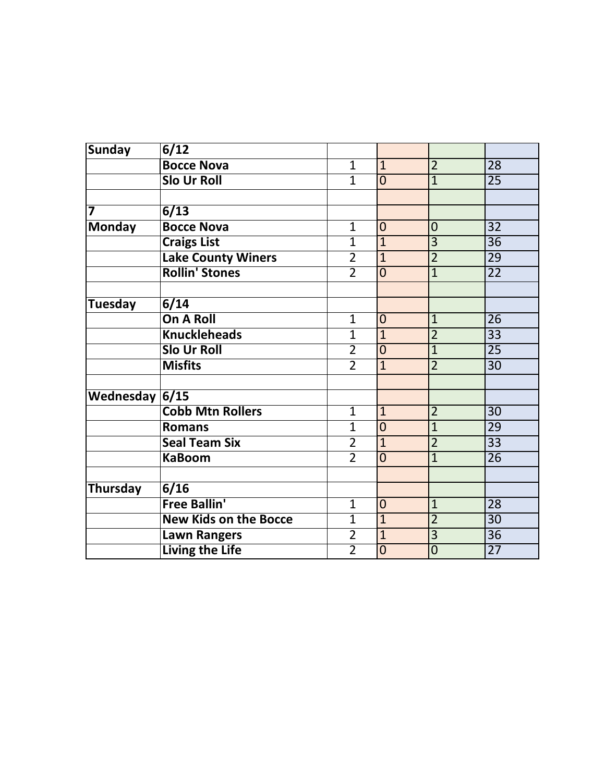| <b>Sunday</b>           | 6/12                         |                |                |                |                 |
|-------------------------|------------------------------|----------------|----------------|----------------|-----------------|
|                         | <b>Bocce Nova</b>            | $\mathbf 1$    | $\mathbf{1}$   | $\overline{2}$ | 28              |
|                         | <b>Slo Ur Roll</b>           | $\overline{1}$ | $\overline{0}$ | $\overline{1}$ | $\overline{25}$ |
|                         |                              |                |                |                |                 |
| $\overline{\mathbf{z}}$ | 6/13                         |                |                |                |                 |
| <b>Monday</b>           | <b>Bocce Nova</b>            | 1              | $\mathbf 0$    | $\mathbf 0$    | $\overline{32}$ |
|                         | <b>Craigs List</b>           | $\overline{1}$ | $\overline{1}$ | $\overline{3}$ | $\overline{36}$ |
|                         | <b>Lake County Winers</b>    | $\overline{2}$ | $\overline{1}$ | $\overline{2}$ | 29              |
|                         | <b>Rollin' Stones</b>        | $\overline{2}$ | $\overline{0}$ | $\overline{1}$ | $\overline{22}$ |
|                         |                              |                |                |                |                 |
| <b>Tuesday</b>          | $\sqrt{6/14}$                |                |                |                |                 |
|                         | <b>On A Roll</b>             | $\mathbf{1}$   | $\mathbf 0$    | $\overline{1}$ | $\overline{26}$ |
|                         | <b>Knuckleheads</b>          | $\overline{1}$ | $\overline{1}$ | $\overline{2}$ | $\overline{33}$ |
|                         | <b>Slo Ur Roll</b>           | $\overline{2}$ | $\overline{0}$ | $\overline{1}$ | $\overline{25}$ |
|                         | <b>Misfits</b>               | $\overline{2}$ | $\overline{1}$ | $\overline{2}$ | $\overline{30}$ |
|                         |                              |                |                |                |                 |
| Wednesday 6/15          |                              |                |                |                |                 |
|                         | <b>Cobb Mtn Rollers</b>      | $\mathbf{1}$   | $\overline{1}$ | $\overline{2}$ | $\overline{30}$ |
|                         | <b>Romans</b>                | $\overline{1}$ | $\overline{0}$ | $\overline{1}$ | 29              |
|                         | <b>Seal Team Six</b>         | $\overline{2}$ | $\overline{1}$ | $\overline{2}$ | $\overline{33}$ |
|                         | <b>KaBoom</b>                | $\overline{2}$ | $\overline{0}$ | $\overline{1}$ | $\overline{26}$ |
|                         |                              |                |                |                |                 |
| Thursday                | 6/16                         |                |                |                |                 |
|                         | <b>Free Ballin'</b>          | $\overline{1}$ | $\overline{0}$ | $\overline{1}$ | $\overline{28}$ |
|                         | <b>New Kids on the Bocce</b> | $\overline{1}$ | $\overline{1}$ | $\overline{2}$ | $\overline{30}$ |
|                         | Lawn Rangers                 | $\overline{2}$ | $\overline{1}$ | $\overline{3}$ | $\overline{36}$ |
|                         | <b>Living the Life</b>       | $\overline{2}$ | $\overline{0}$ | $\overline{0}$ | $\overline{27}$ |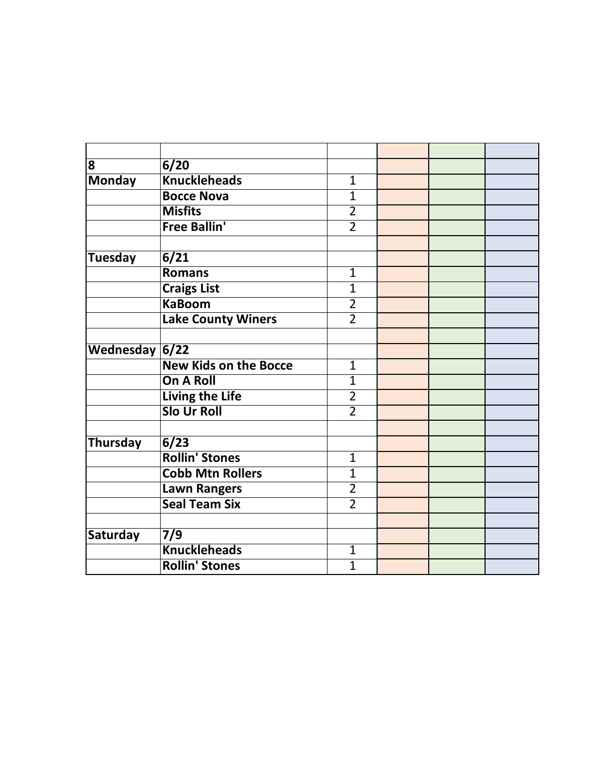| 8                | 6/20                         |                |  |  |
|------------------|------------------------------|----------------|--|--|
| <b>Monday</b>    | <b>Knuckleheads</b>          | $\mathbf 1$    |  |  |
|                  | <b>Bocce Nova</b>            | $\overline{1}$ |  |  |
|                  | <b>Misfits</b>               | $\overline{2}$ |  |  |
|                  | <b>Free Ballin'</b>          | $\overline{2}$ |  |  |
|                  |                              |                |  |  |
| <b>Tuesday</b>   | $\sqrt{6/21}$                |                |  |  |
|                  | <b>Romans</b>                | $\mathbf 1$    |  |  |
|                  | <b>Craigs List</b>           | $\overline{1}$ |  |  |
|                  | <b>KaBoom</b>                | $\overline{2}$ |  |  |
|                  | <b>Lake County Winers</b>    | $\overline{2}$ |  |  |
|                  |                              |                |  |  |
| Wednesday $6/22$ |                              |                |  |  |
|                  | <b>New Kids on the Bocce</b> | $\mathbf{1}$   |  |  |
|                  | <b>On A Roll</b>             | $\overline{1}$ |  |  |
|                  | <b>Living the Life</b>       | $\overline{2}$ |  |  |
|                  | <b>Slo Ur Roll</b>           | $\overline{2}$ |  |  |
|                  |                              |                |  |  |
| <b>Thursday</b>  | 6/23                         |                |  |  |
|                  | <b>Rollin' Stones</b>        | $\mathbf{1}$   |  |  |
|                  | <b>Cobb Mtn Rollers</b>      | $\overline{1}$ |  |  |
|                  | <b>Lawn Rangers</b>          | $\overline{2}$ |  |  |
|                  | <b>Seal Team Six</b>         | $\overline{2}$ |  |  |
|                  |                              |                |  |  |
| Saturday         | $\overline{7/9}$             |                |  |  |
|                  | <b>Knuckleheads</b>          | $\mathbf{1}$   |  |  |
|                  | <b>Rollin' Stones</b>        | $\overline{1}$ |  |  |
|                  |                              |                |  |  |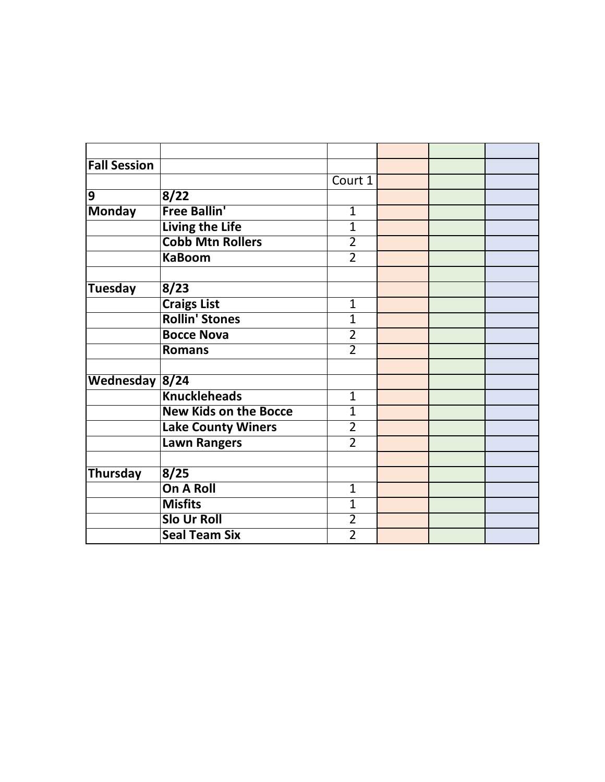| <b>Fall Session</b> |                              |                |  |  |
|---------------------|------------------------------|----------------|--|--|
|                     |                              | Court 1        |  |  |
| ٥                   | 8/22                         |                |  |  |
| <b>Monday</b>       | <b>Free Ballin'</b>          | $\mathbf{1}$   |  |  |
|                     | <b>Living the Life</b>       | $\mathbf{1}$   |  |  |
|                     | <b>Cobb Mtn Rollers</b>      | $\overline{2}$ |  |  |
|                     | <b>KaBoom</b>                | $\overline{2}$ |  |  |
|                     |                              |                |  |  |
| <b>Tuesday</b>      | 8/23                         |                |  |  |
|                     | <b>Craigs List</b>           | $\mathbf{1}$   |  |  |
|                     | <b>Rollin' Stones</b>        | $\mathbf{1}$   |  |  |
|                     | <b>Bocce Nova</b>            | $\overline{2}$ |  |  |
|                     | <b>Romans</b>                | $\overline{2}$ |  |  |
|                     |                              |                |  |  |
| Wednesday 8/24      |                              |                |  |  |
|                     | <b>Knuckleheads</b>          | $\mathbf{1}$   |  |  |
|                     | <b>New Kids on the Bocce</b> | $\overline{1}$ |  |  |
|                     | <b>Lake County Winers</b>    | $\overline{2}$ |  |  |
|                     | <b>Lawn Rangers</b>          | $\overline{2}$ |  |  |
|                     |                              |                |  |  |
| Thursday            | 8/25                         |                |  |  |
|                     | <b>On A Roll</b>             | $\mathbf{1}$   |  |  |
|                     | <b>Misfits</b>               | $\overline{1}$ |  |  |
|                     | <b>Slo Ur Roll</b>           | $\overline{2}$ |  |  |
|                     | <b>Seal Team Six</b>         | $\overline{2}$ |  |  |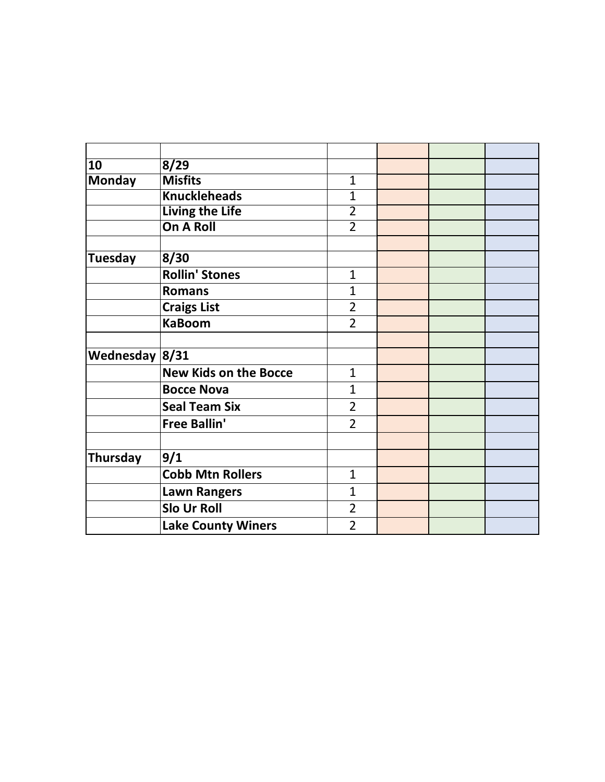| 10               | 8/29                         |                |  |  |
|------------------|------------------------------|----------------|--|--|
| <b>Monday</b>    | <b>Misfits</b>               | $\mathbf{1}$   |  |  |
|                  | <b>Knuckleheads</b>          | $\overline{1}$ |  |  |
|                  | <b>Living the Life</b>       | $\overline{2}$ |  |  |
|                  | <b>On A Roll</b>             | $\overline{2}$ |  |  |
|                  |                              |                |  |  |
| <b>Tuesday</b>   | 8/30                         |                |  |  |
|                  | <b>Rollin' Stones</b>        | $\mathbf{1}$   |  |  |
|                  | <b>Romans</b>                | 1              |  |  |
|                  | <b>Craigs List</b>           | $\overline{2}$ |  |  |
|                  | <b>KaBoom</b>                | $\overline{2}$ |  |  |
|                  |                              |                |  |  |
| Wednesday $8/31$ |                              |                |  |  |
|                  | <b>New Kids on the Bocce</b> | $\mathbf{1}$   |  |  |
|                  | <b>Bocce Nova</b>            | 1              |  |  |
|                  | <b>Seal Team Six</b>         | $\overline{2}$ |  |  |
|                  | <b>Free Ballin'</b>          | $\overline{2}$ |  |  |
|                  |                              |                |  |  |
| <b>Thursday</b>  | 9/1                          |                |  |  |
|                  | <b>Cobb Mtn Rollers</b>      | $\mathbf{1}$   |  |  |
|                  | <b>Lawn Rangers</b>          | $\mathbf{1}$   |  |  |
|                  | Slo Ur Roll                  | $\overline{2}$ |  |  |
|                  | <b>Lake County Winers</b>    | $\overline{2}$ |  |  |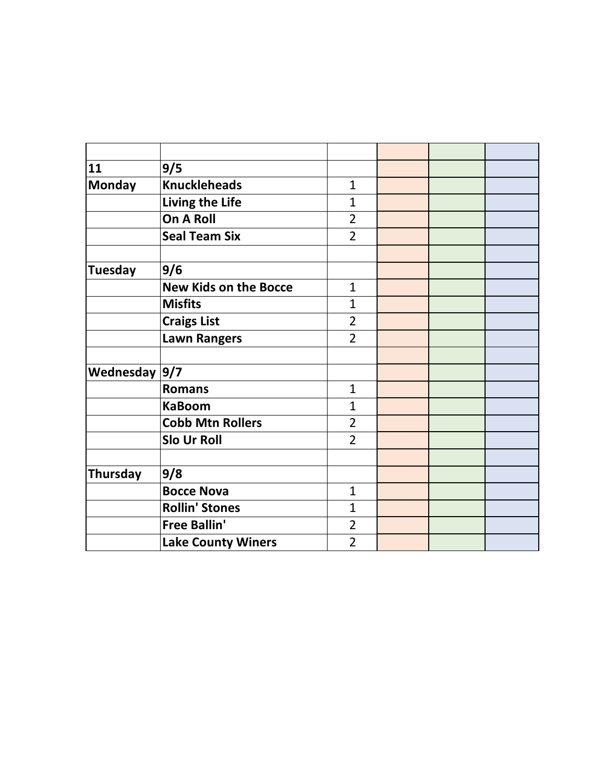| 11              | 9/5                          |                |  |  |
|-----------------|------------------------------|----------------|--|--|
| <b>Monday</b>   | <b>Knuckleheads</b>          | $\mathbf{1}$   |  |  |
|                 | Living the Life              | $\overline{1}$ |  |  |
|                 | On A Roll                    | $\overline{2}$ |  |  |
|                 | <b>Seal Team Six</b>         | $\overline{2}$ |  |  |
|                 |                              |                |  |  |
| <b>Tuesday</b>  | 9/6                          |                |  |  |
|                 | <b>New Kids on the Bocce</b> | $\overline{1}$ |  |  |
|                 | <b>Misfits</b>               | $\overline{1}$ |  |  |
|                 | <b>Craigs List</b>           | $\overline{2}$ |  |  |
|                 | <b>Lawn Rangers</b>          | $\overline{2}$ |  |  |
|                 |                              |                |  |  |
| Wednesday $9/7$ |                              |                |  |  |
|                 | <b>Romans</b>                | $\mathbf{1}$   |  |  |
|                 | <b>KaBoom</b>                | $\overline{1}$ |  |  |
|                 | <b>Cobb Mtn Rollers</b>      | $\overline{2}$ |  |  |
|                 | Slo Ur Roll                  | $\overline{2}$ |  |  |
|                 |                              |                |  |  |
| Thursday        | 9/8                          |                |  |  |
|                 | <b>Bocce Nova</b>            | $\overline{1}$ |  |  |
|                 | <b>Rollin' Stones</b>        | $\overline{1}$ |  |  |
|                 | <b>Free Ballin'</b>          | $\overline{2}$ |  |  |
|                 | <b>Lake County Winers</b>    | $\overline{2}$ |  |  |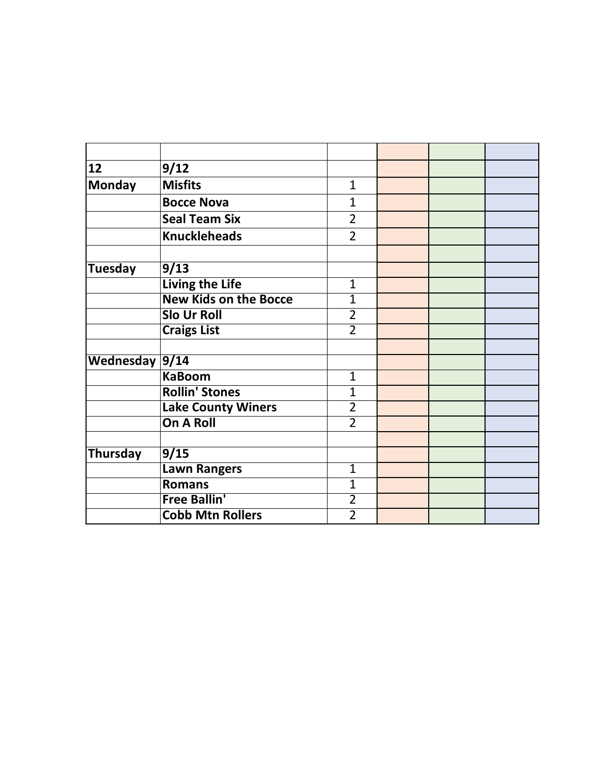| 12             | 9/12                         |                |  |  |
|----------------|------------------------------|----------------|--|--|
| <b>Monday</b>  | <b>Misfits</b>               | $\mathbf{1}$   |  |  |
|                | <b>Bocce Nova</b>            | 1              |  |  |
|                | <b>Seal Team Six</b>         | 2              |  |  |
|                | <b>Knuckleheads</b>          | $\overline{2}$ |  |  |
|                |                              |                |  |  |
| Tuesday        | 9/13                         |                |  |  |
|                | <b>Living the Life</b>       | $\mathbf{1}$   |  |  |
|                | <b>New Kids on the Bocce</b> | $\overline{1}$ |  |  |
|                | <b>Slo Ur Roll</b>           | $\overline{2}$ |  |  |
|                | <b>Craigs List</b>           | $\overline{2}$ |  |  |
|                |                              |                |  |  |
| Wednesday 9/14 |                              |                |  |  |
|                | <b>KaBoom</b>                | $\mathbf{1}$   |  |  |
|                | <b>Rollin' Stones</b>        | $\overline{1}$ |  |  |
|                | <b>Lake County Winers</b>    | $\overline{2}$ |  |  |
|                | <b>On A Roll</b>             | $\overline{2}$ |  |  |
|                |                              |                |  |  |
| Thursday       | 9/15                         |                |  |  |
|                | <b>Lawn Rangers</b>          | $\overline{1}$ |  |  |
|                | <b>Romans</b>                | $\mathbf{1}$   |  |  |
|                | <b>Free Ballin'</b>          | $\overline{2}$ |  |  |
|                | <b>Cobb Mtn Rollers</b>      | $\overline{2}$ |  |  |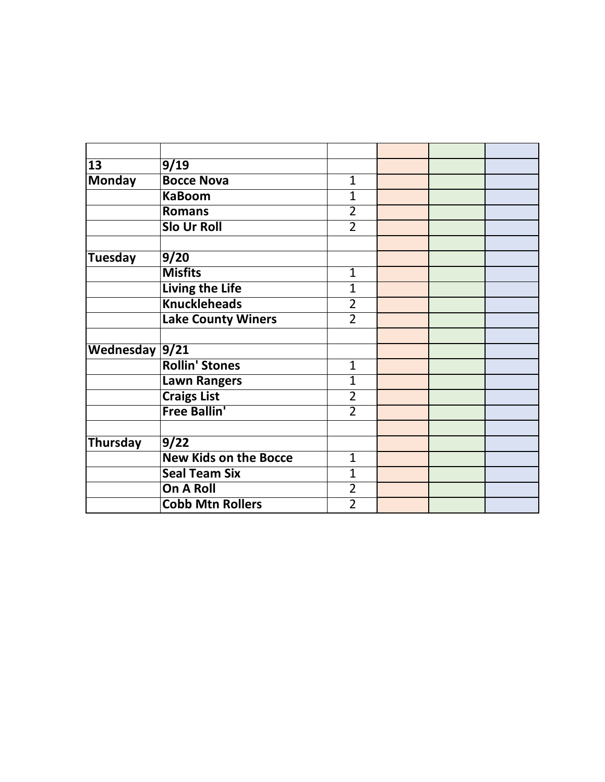| 13             | 9/19                         |                |  |  |
|----------------|------------------------------|----------------|--|--|
| <b>Monday</b>  | <b>Bocce Nova</b>            | $\mathbf{1}$   |  |  |
|                | <b>KaBoom</b>                | $\overline{1}$ |  |  |
|                | <b>Romans</b>                | $\overline{2}$ |  |  |
|                | <b>Slo Ur Roll</b>           | $\overline{2}$ |  |  |
|                |                              |                |  |  |
| Tuesday        | 9/20                         |                |  |  |
|                | <b>Misfits</b>               | 1              |  |  |
|                | Living the Life              | $\overline{1}$ |  |  |
|                | <b>Knuckleheads</b>          | $\overline{2}$ |  |  |
|                | <b>Lake County Winers</b>    | $\overline{2}$ |  |  |
|                |                              |                |  |  |
| Wednesday 9/21 |                              |                |  |  |
|                | <b>Rollin' Stones</b>        | 1              |  |  |
|                | <b>Lawn Rangers</b>          | $\overline{1}$ |  |  |
|                | <b>Craigs List</b>           | $\overline{2}$ |  |  |
|                | <b>Free Ballin'</b>          | $\overline{2}$ |  |  |
|                |                              |                |  |  |
| Thursday       | 9/22                         |                |  |  |
|                | <b>New Kids on the Bocce</b> | 1              |  |  |
|                | <b>Seal Team Six</b>         | 1              |  |  |
|                | On A Roll                    | $\overline{2}$ |  |  |
|                | <b>Cobb Mtn Rollers</b>      | $\overline{2}$ |  |  |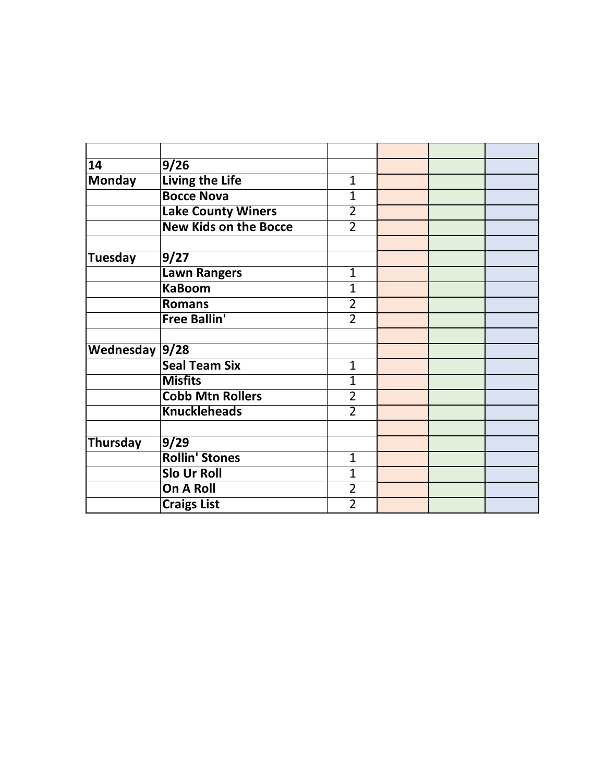| 14             | 9/26                         |                |  |  |
|----------------|------------------------------|----------------|--|--|
| <b>Monday</b>  | <b>Living the Life</b>       | $\mathbf{1}$   |  |  |
|                | <b>Bocce Nova</b>            | 1              |  |  |
|                | <b>Lake County Winers</b>    | $\overline{2}$ |  |  |
|                | <b>New Kids on the Bocce</b> | $\overline{2}$ |  |  |
|                |                              |                |  |  |
| Tuesday        | 9/27                         |                |  |  |
|                | Lawn Rangers                 | 1              |  |  |
|                | <b>KaBoom</b>                | $\overline{1}$ |  |  |
|                | <b>Romans</b>                | 2              |  |  |
|                | <b>Free Ballin'</b>          | $\overline{2}$ |  |  |
|                |                              |                |  |  |
| Wednesday 9/28 |                              |                |  |  |
|                | <b>Seal Team Six</b>         | 1              |  |  |
|                | <b>Misfits</b>               | $\overline{1}$ |  |  |
|                | <b>Cobb Mtn Rollers</b>      | $\overline{2}$ |  |  |
|                | <b>Knuckleheads</b>          | $\overline{2}$ |  |  |
|                |                              |                |  |  |
| Thursday       | 9/29                         |                |  |  |
|                | <b>Rollin' Stones</b>        | 1              |  |  |
|                | <b>Slo Ur Roll</b>           | 1              |  |  |
|                | On A Roll                    | $\overline{2}$ |  |  |
|                | <b>Craigs List</b>           | $\overline{2}$ |  |  |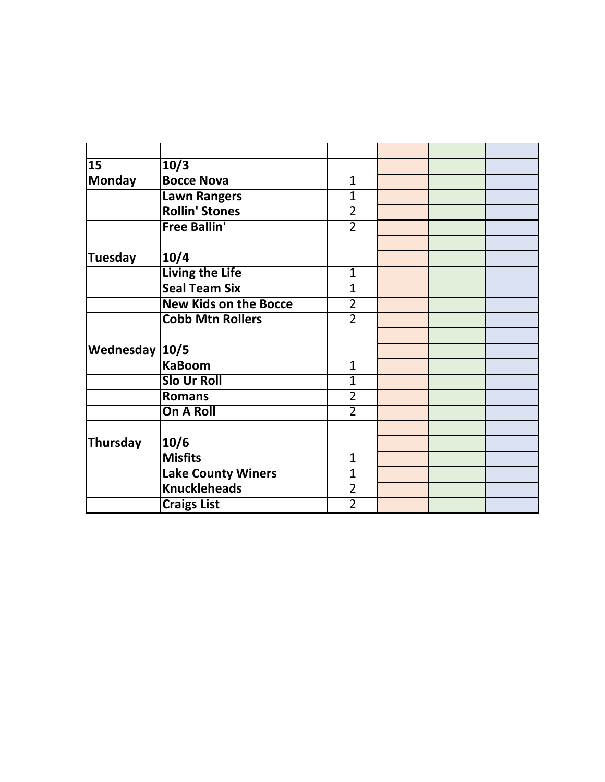| 15             | 10/3                         |                |  |  |
|----------------|------------------------------|----------------|--|--|
| <b>Monday</b>  | <b>Bocce Nova</b>            | $\mathbf{1}$   |  |  |
|                | <b>Lawn Rangers</b>          | 1              |  |  |
|                | <b>Rollin' Stones</b>        | $\overline{2}$ |  |  |
|                | <b>Free Ballin'</b>          | $\overline{2}$ |  |  |
|                |                              |                |  |  |
| <b>Tuesday</b> | 10/4                         |                |  |  |
|                | <b>Living the Life</b>       | 1              |  |  |
|                | <b>Seal Team Six</b>         | $\overline{1}$ |  |  |
|                | <b>New Kids on the Bocce</b> | $\overline{2}$ |  |  |
|                | <b>Cobb Mtn Rollers</b>      | $\overline{2}$ |  |  |
|                |                              |                |  |  |
| Wednesday 10/5 |                              |                |  |  |
|                | <b>KaBoom</b>                | 1              |  |  |
|                | <b>Slo Ur Roll</b>           | $\overline{1}$ |  |  |
|                | <b>Romans</b>                | $\overline{2}$ |  |  |
|                | <b>On A Roll</b>             | $\overline{2}$ |  |  |
|                |                              |                |  |  |
| Thursday       | 10/6                         |                |  |  |
|                | <b>Misfits</b>               | 1              |  |  |
|                | <b>Lake County Winers</b>    | 1              |  |  |
|                | <b>Knuckleheads</b>          | $\overline{2}$ |  |  |
|                | <b>Craigs List</b>           | $\overline{2}$ |  |  |